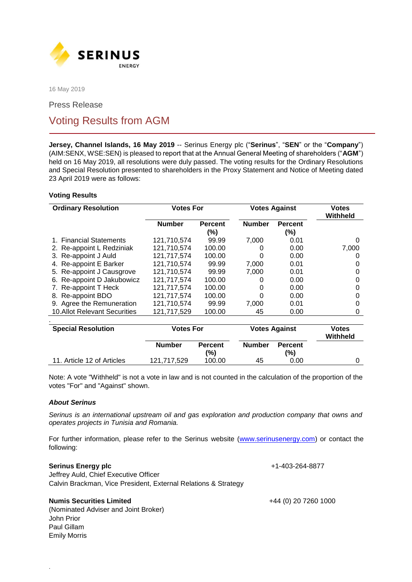

16 May 2019

Press Release

# Voting Results from AGM

**Jersey, Channel Islands, 16 May 2019** -- Serinus Energy plc ("**Serinus**", "**SEN**" or the "**Company**") (AIM:SENX, WSE:SEN) is pleased to report that at the Annual General Meeting of shareholders ("**AGM**") held on 16 May 2019, all resolutions were duly passed. The voting results for the Ordinary Resolutions and Special Resolution presented to shareholders in the Proxy Statement and Notice of Meeting dated 23 April 2019 were as follows:

## **Voting Results**

| <b>Ordinary Resolution</b>          | <b>Votes For</b> |                          | <b>Votes Against</b> |                           | <b>Votes</b><br>Withheld |
|-------------------------------------|------------------|--------------------------|----------------------|---------------------------|--------------------------|
|                                     | <b>Number</b>    | <b>Percent</b><br>$(\%)$ | <b>Number</b>        | <b>Percent</b><br>$(\% )$ |                          |
| <b>Financial Statements</b>         | 121.710.574      | 99.99                    | 7,000                | 0.01                      | O                        |
| 2. Re-appoint L Redziniak           | 121,710,574      | 100.00                   | O                    | 0.00                      | 7,000                    |
| 3. Re-appoint J Auld                | 121,717,574      | 100.00                   | 0                    | 0.00                      |                          |
| <b>Re-appoint E Barker</b><br>4.    | 121,710,574      | 99.99                    | 7,000                | 0.01                      | O                        |
| 5. Re-appoint J Causgrove           | 121,710,574      | 99.99                    | 7,000                | 0.01                      | 0                        |
| 6. Re-appoint D Jakubowicz          | 121,717,574      | 100.00                   | O                    | 0.00                      |                          |
| 7. Re-appoint T Heck                | 121,717,574      | 100.00                   | 0                    | 0.00                      | Ω                        |
| Re-appoint BDO<br>8.                | 121,717,574      | 100.00                   | 0                    | 0.00                      | Ω                        |
| 9. Agree the Remuneration           | 121,710,574      | 99.99                    | 7.000                | 0.01                      |                          |
| <b>10.Allot Relevant Securities</b> | 121,717,529      | 100.00                   | 45                   | 0.00                      | 0                        |
|                                     |                  |                          |                      |                           |                          |
| <b>Special Resolution</b>           | <b>Votes For</b> |                          | <b>Votes Against</b> |                           | <b>Votes</b><br>Withheld |
|                                     | <b>Number</b>    | <b>Percent</b><br>(%)    | <b>Number</b>        | <b>Percent</b><br>(%)     |                          |
| 11. Article 12 of Articles          | 121,717,529      | 100.00                   | 45                   | 0.00                      | O                        |

Note: A vote "Withheld" is not a vote in law and is not counted in the calculation of the proportion of the votes "For" and "Against" shown.

### *About Serinus*

*Serinus is an international upstream oil and gas exploration and production company that owns and operates projects in Tunisia and Romania.*

For further information, please refer to the Serinus website (www.serinusenergy.com) or contact the following:

### **Serinus Energy plc that is a series of the series of the series of the series of the series of the series of the series of the series of the series of the series of the series of the series of the series of the series o**

.

Jeffrey Auld, Chief Executive Officer Calvin Brackman, Vice President, External Relations & Strategy

### **Numis Securities Limited** +44 (0) 20 7260 1000

(Nominated Adviser and Joint Broker) John Prior Paul Gillam Emily Morris